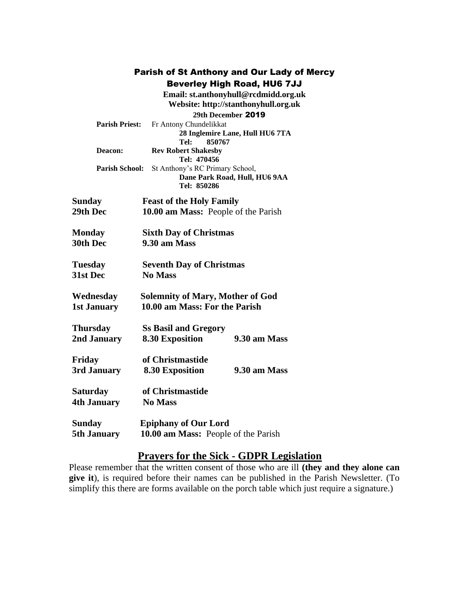|                       |                                           | Parish of St Anthony and Our Lady of Mercy |  |
|-----------------------|-------------------------------------------|--------------------------------------------|--|
|                       |                                           | <b>Beverley High Road, HU6 7JJ</b>         |  |
|                       |                                           | Email: st.anthonyhull@rcdmidd.org.uk       |  |
|                       |                                           | Website: http://stanthonyhull.org.uk       |  |
|                       |                                           | 29th December 2019                         |  |
| <b>Parish Priest:</b> | Fr Antony Chundelikkat                    |                                            |  |
|                       |                                           | 28 Inglemire Lane, Hull HU6 7TA            |  |
|                       | 850767<br>Tel:                            |                                            |  |
| Deacon:               | <b>Rev Robert Shakesby</b><br>Tel: 470456 |                                            |  |
| <b>Parish School:</b> | St Anthony's RC Primary School,           |                                            |  |
|                       |                                           | Dane Park Road, Hull, HU6 9AA              |  |
|                       | Tel: 850286                               |                                            |  |
| Sunday                | <b>Feast of the Holy Family</b>           |                                            |  |
| 29th Dec              | 10.00 am Mass: People of the Parish       |                                            |  |
|                       |                                           |                                            |  |
| Monday                | <b>Sixth Day of Christmas</b>             |                                            |  |
| 30th Dec              | 9.30 am Mass                              |                                            |  |
|                       |                                           |                                            |  |
| Tuesday               | <b>Seventh Day of Christmas</b>           |                                            |  |
| 31st Dec              | <b>No Mass</b>                            |                                            |  |
|                       |                                           |                                            |  |
| Wednesday             | <b>Solemnity of Mary, Mother of God</b>   |                                            |  |
| <b>1st January</b>    | 10.00 am Mass: For the Parish             |                                            |  |
|                       |                                           |                                            |  |
| <b>Thursday</b>       | <b>Ss Basil and Gregory</b>               |                                            |  |
| 2nd January           | <b>8.30 Exposition</b>                    | 9.30 am Mass                               |  |
|                       |                                           |                                            |  |
| Friday                | of Christmastide                          |                                            |  |
| 3rd January           | 8.30 Exposition                           | 9.30 am Mass                               |  |
|                       |                                           |                                            |  |
| Saturday              | of Christmastide                          |                                            |  |
| 4th January           | <b>No Mass</b>                            |                                            |  |
|                       |                                           |                                            |  |
| Sunday                | <b>Epiphany of Our Lord</b>               |                                            |  |
| 5th January           | 10.00 am Mass: People of the Parish       |                                            |  |

## **Prayers for the Sick - GDPR Legislation**

Please remember that the written consent of those who are ill **(they and they alone can give it**), is required before their names can be published in the Parish Newsletter. (To simplify this there are forms available on the porch table which just require a signature.)